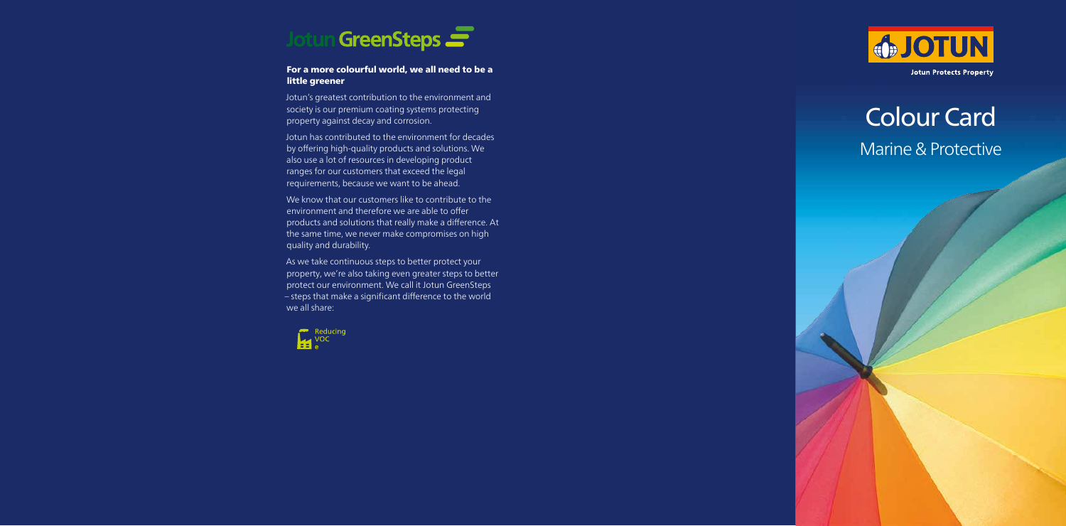## Colour Card Marine & Protective

## For a more colourful world, we all need to be a little greener

Jotun's greatest contribution to the environment and society is our premium coating systems protecting property against decay and corrosion.

We know that our customers like to contribute to the environment and therefore we are able to offer products and solutions that really make a difference. At the same time, we never make compromises on high quality and durability.

Jotun has contributed to the environment for decades by offering high-quality products and solutions. We also use a lot of resources in developing product ranges for our customers that exceed the legal requirements, because we want to be ahead.

As we take continuous steps to better protect your property, we're also taking even greater steps to better protect our environment. We call it Jotun GreenSteps – steps that make a significant difference to the world we all share:



**Jotun A/S** P.O. Box 2021, N-3202 Sandefjord, Norway Tel:+47 33 45 70 00 **jotun.com**





**Jotun Protects Property** 

## **Topcoats**

The colours shown are our most popular colour shades. Jotun's range of topcoats can be supplied in most RAL, BS, Munsell and other standard societies' colours from Jotun Multicolour Industry centres. For details and availability please contact your local Jotun office. Deviations can occur between the samples shown, the delivered products and the standard references due to differences in production methods, pigments and gloss levels.

## Hiding power

The hiding power obtained on a surface depends on the combination of primer colour, topcoat colour, the colour itself and the number of coats. When selecting a primer colour, choosing the right one will secure good hiding power, good appearance and lower film thickness. The right primer colour can be selected using the symbol under each colour chip.

Grey XO™ is our specially developed primer colour – optimalised for achieving the best possible results.



Grey XO™ primer – by using Grey XO ™ as a primer colour for these colours optimal hiding power is achieved.



Yellow primer colour – by using yellow as a primer colour for these colours optimal hiding power is achieved.

Light red primer colour – by using a light red primer colour for these colours optimal hiding power is achieved.

Please refer to the Technical Data Sheets available on jotun.com for colour availability on each product, or contact your local Jotun office.